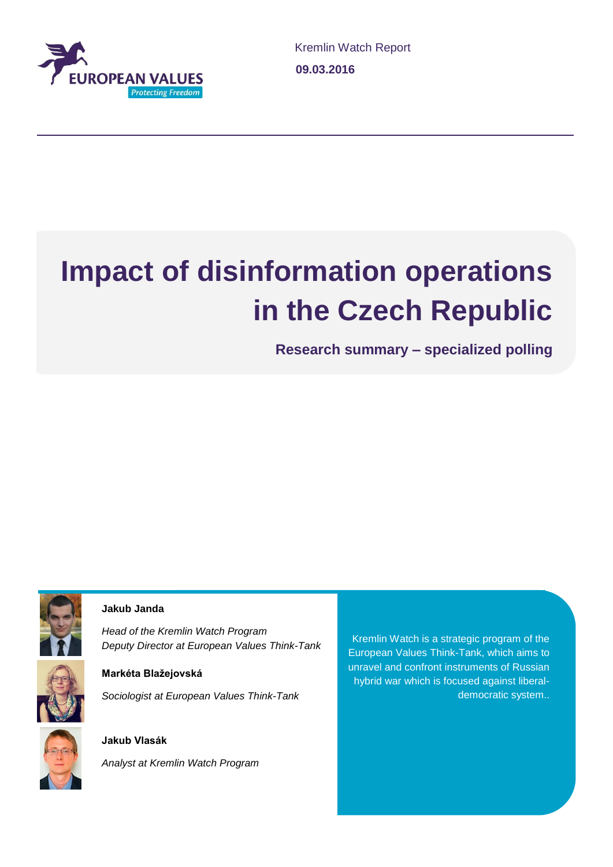

# **Impact of disinformation operations in the Czech Republic**

**Research summary – specialized polling**



#### **Jakub Janda**

*Head of the Kremlin Watch Program Deputy Director at European Values Think-Tank*



### **Markéta Blažejovská** *Sociologist at European Values Think-Tank*

### **Jakub Vlasák**

*Analyst at Kremlin Watch Program*

Kremlin Watch is a strategic program of the European Values Think-Tank, which aims to unravel and confront instruments of Russian hybrid war which is focused against liberaldemocratic system..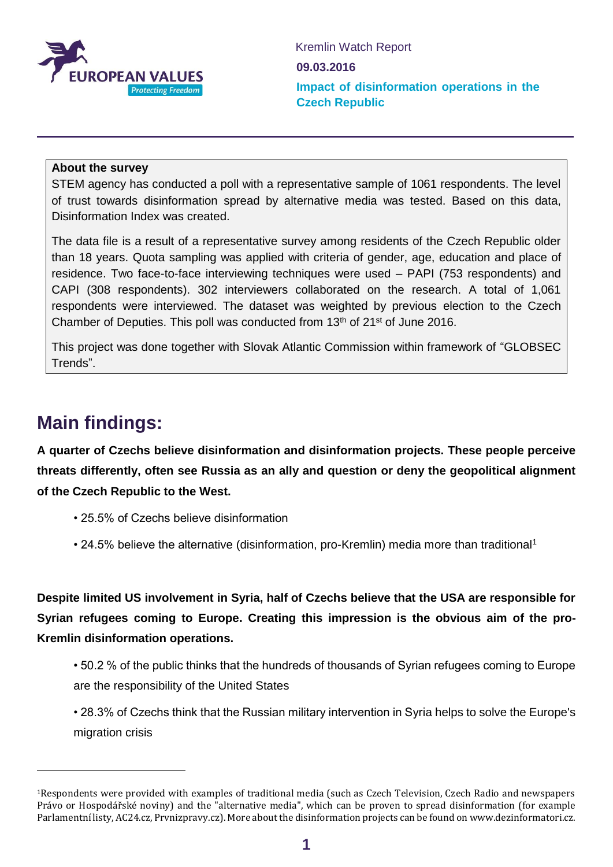

#### **About the survey**

STEM agency has conducted a poll with a representative sample of 1061 respondents. The level of trust towards disinformation spread by alternative media was tested. Based on this data, Disinformation Index was created.

The data file is a result of a representative survey among residents of the Czech Republic older than 18 years. Quota sampling was applied with criteria of gender, age, education and place of residence. Two face-to-face interviewing techniques were used – PAPI (753 respondents) and CAPI (308 respondents). 302 interviewers collaborated on the research. A total of 1,061 respondents were interviewed. The dataset was weighted by previous election to the Czech Chamber of Deputies. This poll was conducted from 13<sup>th</sup> of 21<sup>st</sup> of June 2016.

This project was done together with Slovak Atlantic Commission within framework of "GLOBSEC Trends".

## **Main findings:**

-

**A quarter of Czechs believe disinformation and disinformation projects. These people perceive threats differently, often see Russia as an ally and question or deny the geopolitical alignment of the Czech Republic to the West.**

- 25.5% of Czechs believe disinformation
- 24.5% believe the alternative (disinformation, pro-Kremlin) media more than traditional<sup>1</sup>

**Despite limited US involvement in Syria, half of Czechs believe that the USA are responsible for Syrian refugees coming to Europe. Creating this impression is the obvious aim of the pro-Kremlin disinformation operations.**

- 50.2 % of the public thinks that the hundreds of thousands of Syrian refugees coming to Europe are the responsibility of the United States
- 28.3% of Czechs think that the Russian military intervention in Syria helps to solve the Europe's migration crisis

<sup>1</sup>Respondents were provided with examples of traditional media (such as Czech Television, Czech Radio and newspapers Právo or Hospodářské noviny) and the "alternative media", which can be proven to spread disinformation (for example Parlamentní listy, AC24.cz, Prvnizpravy.cz). More about the disinformation projects can be found on www.dezinformatori.cz.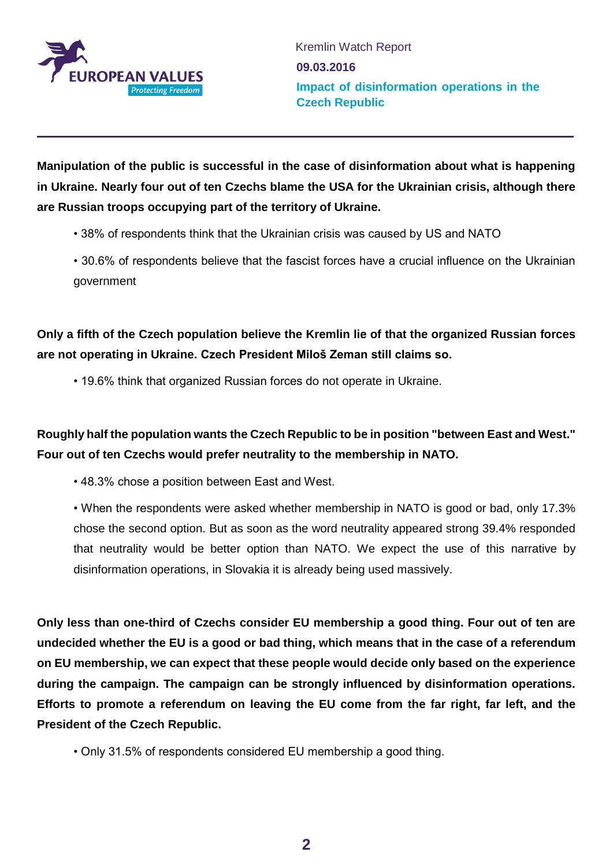

**Manipulation of the public is successful in the case of disinformation about what is happening in Ukraine. Nearly four out of ten Czechs blame the USA for the Ukrainian crisis, although there are Russian troops occupying part of the territory of Ukraine.**

- 38% of respondents think that the Ukrainian crisis was caused by US and NATO
- 30.6% of respondents believe that the fascist forces have a crucial influence on the Ukrainian government

**Only a fifth of the Czech population believe the Kremlin lie of that the organized Russian forces are not operating in Ukraine. Czech President Miloš Zeman still claims so.**

• 19.6% think that organized Russian forces do not operate in Ukraine.

**Roughly half the population wants the Czech Republic to be in position "between East and West." Four out of ten Czechs would prefer neutrality to the membership in NATO.**

• 48.3% chose a position between East and West.

• When the respondents were asked whether membership in NATO is good or bad, only 17.3% chose the second option. But as soon as the word neutrality appeared strong 39.4% responded that neutrality would be better option than NATO. We expect the use of this narrative by disinformation operations, in Slovakia it is already being used massively.

**Only less than one-third of Czechs consider EU membership a good thing. Four out of ten are undecided whether the EU is a good or bad thing, which means that in the case of a referendum on EU membership, we can expect that these people would decide only based on the experience during the campaign. The campaign can be strongly influenced by disinformation operations. Efforts to promote a referendum on leaving the EU come from the far right, far left, and the President of the Czech Republic.**

• Only 31.5% of respondents considered EU membership a good thing.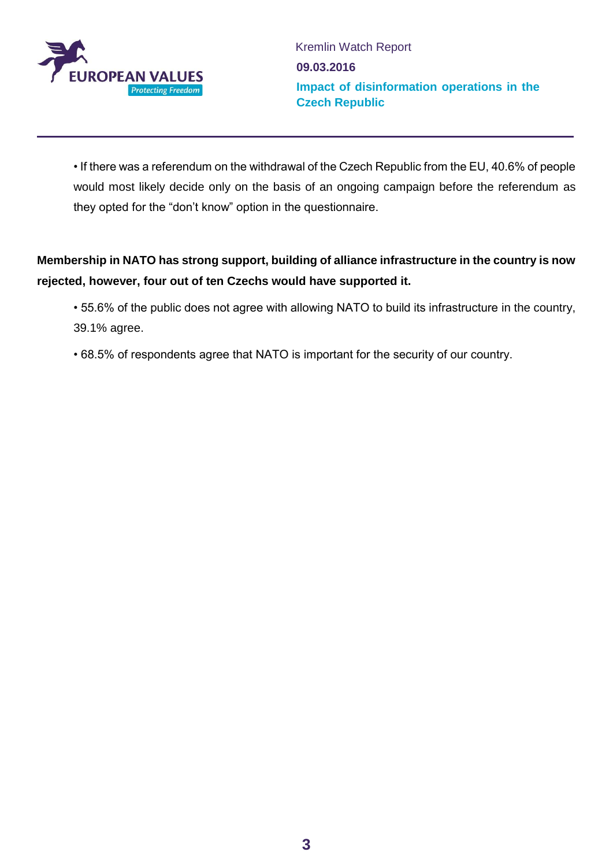

• If there was a referendum on the withdrawal of the Czech Republic from the EU, 40.6% of people would most likely decide only on the basis of an ongoing campaign before the referendum as they opted for the "don't know" option in the questionnaire.

### **Membership in NATO has strong support, building of alliance infrastructure in the country is now rejected, however, four out of ten Czechs would have supported it.**

- 55.6% of the public does not agree with allowing NATO to build its infrastructure in the country, 39.1% agree.
- 68.5% of respondents agree that NATO is important for the security of our country.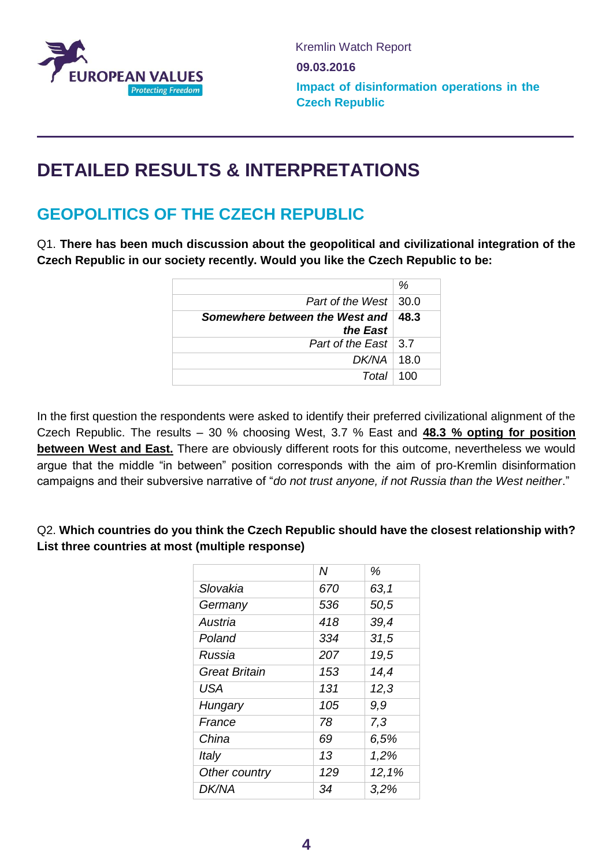

# **DETAILED RESULTS & INTERPRETATIONS**

## **GEOPOLITICS OF THE CZECH REPUBLIC**

Q1. **There has been much discussion about the geopolitical and civilizational integration of the Czech Republic in our society recently. Would you like the Czech Republic to be:**

|                                                   | %   |
|---------------------------------------------------|-----|
| Part of the West $\vert$ 30.0                     |     |
| Somewhere between the West and   48.3<br>the East |     |
| Part of the East $\vert 3.7 \vert$                |     |
| $DK/NA$   18.0                                    |     |
| Total                                             | 100 |

In the first question the respondents were asked to identify their preferred civilizational alignment of the Czech Republic. The results – 30 % choosing West, 3.7 % East and **48.3 % opting for position between West and East.** There are obviously different roots for this outcome, nevertheless we would argue that the middle "in between" position corresponds with the aim of pro-Kremlin disinformation campaigns and their subversive narrative of "*do not trust anyone, if not Russia than the West neither*."

Q2. **Which countries do you think the Czech Republic should have the closest relationship with? List three countries at most (multiple response)**

|                      | Ν   | %     |
|----------------------|-----|-------|
| Slovakia             | 670 | 63,1  |
| Germany              | 536 | 50,5  |
| Austria              | 418 | 39,4  |
| Poland               | 334 | 31,5  |
| Russia               | 207 | 19,5  |
| <b>Great Britain</b> | 153 | 14,4  |
| <b>USA</b>           | 131 | 12,3  |
| Hungary              | 105 | 9.9   |
| France               | 78  | 7,3   |
| China                | 69  | 6,5%  |
| Italy                | 13  | 1,2%  |
| Other country        | 129 | 12,1% |
| <b>DK/NA</b>         | 34  | 3,2%  |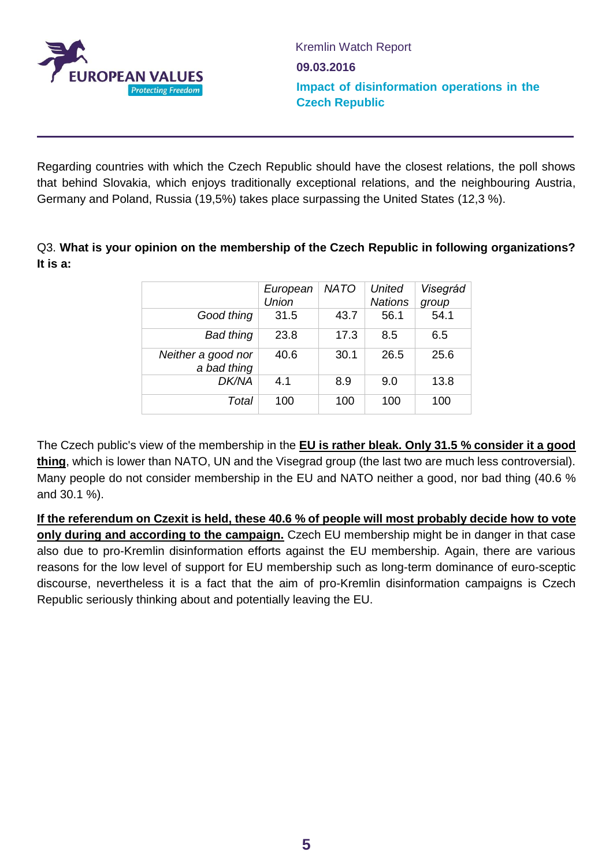

Regarding countries with which the Czech Republic should have the closest relations, the poll shows that behind Slovakia, which enjoys traditionally exceptional relations, and the neighbouring Austria, Germany and Poland, Russia (19,5%) takes place surpassing the United States (12,3 %).

Q3. **What is your opinion on the membership of the Czech Republic in following organizations? It is a:** 

|                                   | European<br><b>Union</b> | <b>NATO</b> | <b>United</b><br><b>Nations</b> | Visegrád<br>group |
|-----------------------------------|--------------------------|-------------|---------------------------------|-------------------|
| Good thing                        | 31.5                     | 43.7        | 56.1                            | 54.1              |
| <b>Bad thing</b>                  | 23.8                     | 17.3        | 8.5                             | 6.5               |
| Neither a good nor<br>a bad thing | 40.6                     | 30.1        | 26.5                            | 25.6              |
| <b>DK/NA</b>                      | 4.1                      | 8.9         | 9.0                             | 13.8              |
| Total                             | 100                      | 100         | 100                             | 100               |

The Czech public's view of the membership in the **EU is rather bleak. Only 31.5 % consider it a good thing**, which is lower than NATO, UN and the Visegrad group (the last two are much less controversial). Many people do not consider membership in the EU and NATO neither a good, nor bad thing (40.6 % and 30.1 %).

**If the referendum on Czexit is held, these 40.6 % of people will most probably decide how to vote only during and according to the campaign.** Czech EU membership might be in danger in that case also due to pro-Kremlin disinformation efforts against the EU membership. Again, there are various reasons for the low level of support for EU membership such as long-term dominance of euro-sceptic discourse, nevertheless it is a fact that the aim of pro-Kremlin disinformation campaigns is Czech Republic seriously thinking about and potentially leaving the EU.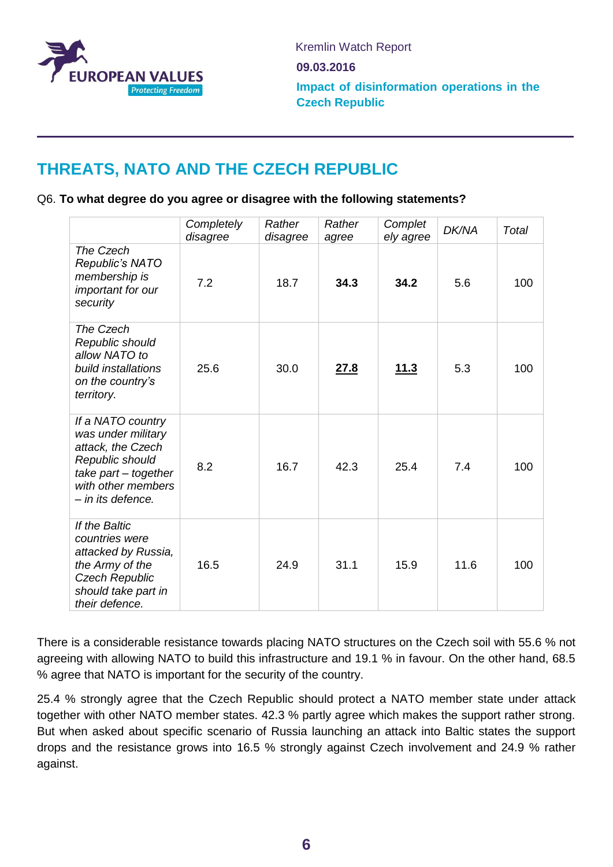

# **THREATS, NATO AND THE CZECH REPUBLIC**

#### Q6. **To what degree do you agree or disagree with the following statements?**

|                                                                                                                                                    | Completely<br>disagree | Rather<br>disagree | Rather<br>agree | Complet<br>ely agree | <b>DK/NA</b> | Total |
|----------------------------------------------------------------------------------------------------------------------------------------------------|------------------------|--------------------|-----------------|----------------------|--------------|-------|
| The Czech<br>Republic's NATO<br>membership is<br>important for our<br>security                                                                     | 7.2                    | 18.7               | 34.3            | 34.2                 | 5.6          | 100   |
| The Czech<br>Republic should<br>allow NATO to<br>build installations<br>on the country's<br>territory.                                             | 25.6                   | 30.0               | 27.8            | <u>11.3</u>          | 5.3          | 100   |
| If a NATO country<br>was under military<br>attack, the Czech<br>Republic should<br>take part - together<br>with other members<br>- in its defence. | 8.2                    | 16.7               | 42.3            | 25.4                 | 7.4          | 100   |
| If the Baltic<br>countries were<br>attacked by Russia,<br>the Army of the<br><b>Czech Republic</b><br>should take part in<br>their defence.        | 16.5                   | 24.9               | 31.1            | 15.9                 | 11.6         | 100   |

There is a considerable resistance towards placing NATO structures on the Czech soil with 55.6 % not agreeing with allowing NATO to build this infrastructure and 19.1 % in favour. On the other hand, 68.5 % agree that NATO is important for the security of the country.

25.4 % strongly agree that the Czech Republic should protect a NATO member state under attack together with other NATO member states. 42.3 % partly agree which makes the support rather strong. But when asked about specific scenario of Russia launching an attack into Baltic states the support drops and the resistance grows into 16.5 % strongly against Czech involvement and 24.9 % rather against.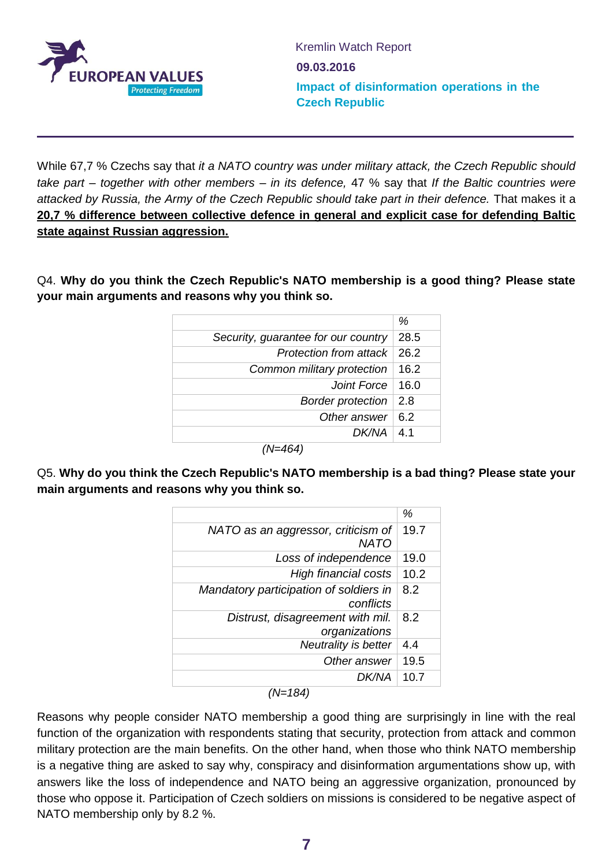

While 67,7 % Czechs say that *it a NATO country was under military attack, the Czech Republic should take part – together with other members – in its defence,* 47 % say that *If the Baltic countries were attacked by Russia, the Army of the Czech Republic should take part in their defence.* That makes it a **20,7 % difference between collective defence in general and explicit case for defending Baltic state against Russian aggression.** 

Q4. **Why do you think the Czech Republic's NATO membership is a good thing? Please state your main arguments and reasons why you think so.**

| Security, guarantee for our country<br>28.5<br>Protection from attack $\vert$ 26.2<br>Common military protection<br>16.2<br>Joint Force $ 16.0$<br><b>Border protection</b><br>2.8<br>Other answer<br>6.2<br>DK/NA<br>4.1 | % |
|---------------------------------------------------------------------------------------------------------------------------------------------------------------------------------------------------------------------------|---|
|                                                                                                                                                                                                                           |   |
|                                                                                                                                                                                                                           |   |
|                                                                                                                                                                                                                           |   |
|                                                                                                                                                                                                                           |   |
|                                                                                                                                                                                                                           |   |
|                                                                                                                                                                                                                           |   |
|                                                                                                                                                                                                                           |   |

*(N=464)*

Q5. **Why do you think the Czech Republic's NATO membership is a bad thing? Please state your main arguments and reasons why you think so.**

|                                                     | %      |
|-----------------------------------------------------|--------|
| NATO as an aggressor, criticism of<br>NATO          | 19.7   |
| Loss of independence                                | 19.0   |
| <b>High financial costs</b>                         | 10.2   |
| Mandatory participation of soldiers in<br>conflicts | 8.2    |
| Distrust, disagreement with mil.<br>organizations   | 8.2    |
| Neutrality is better                                | $4\,4$ |
| Other answer                                        | 19.5   |
| DK/NA                                               | 10.7   |

*(N=184)*

Reasons why people consider NATO membership a good thing are surprisingly in line with the real function of the organization with respondents stating that security, protection from attack and common military protection are the main benefits. On the other hand, when those who think NATO membership is a negative thing are asked to say why, conspiracy and disinformation argumentations show up, with answers like the loss of independence and NATO being an aggressive organization, pronounced by those who oppose it. Participation of Czech soldiers on missions is considered to be negative aspect of NATO membership only by 8.2 %.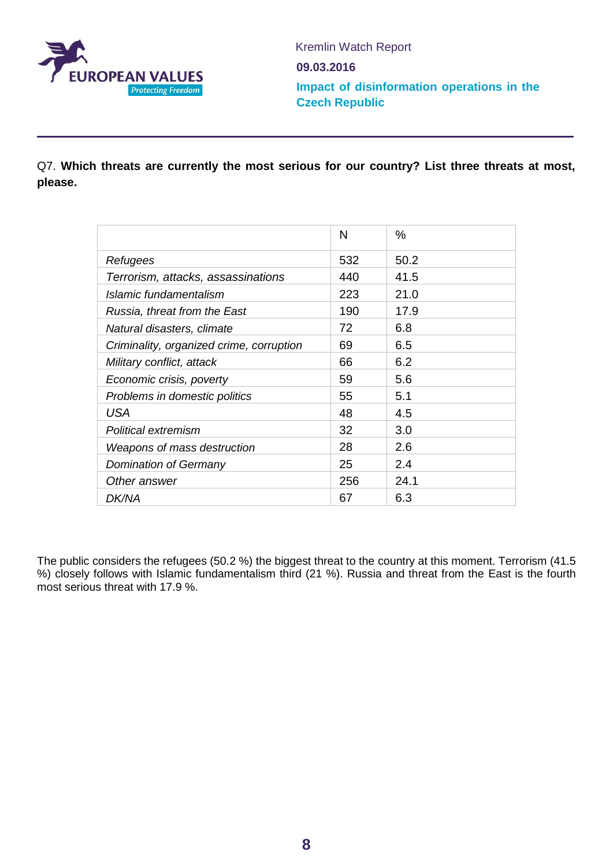

Q7. **Which threats are currently the most serious for our country? List three threats at most, please.**

| N   | $\%$ |
|-----|------|
| 532 | 50.2 |
| 440 | 41.5 |
| 223 | 21.0 |
| 190 | 17.9 |
| 72  | 6.8  |
| 69  | 6.5  |
| 66  | 6.2  |
| 59  | 5.6  |
| 55  | 5.1  |
| 48  | 4.5  |
| 32  | 3.0  |
| 28  | 2.6  |
| 25  | 2.4  |
| 256 | 24.1 |
| 67  | 6.3  |
|     |      |

The public considers the refugees (50.2 %) the biggest threat to the country at this moment. Terrorism (41.5 %) closely follows with Islamic fundamentalism third (21 %). Russia and threat from the East is the fourth most serious threat with 17.9 %.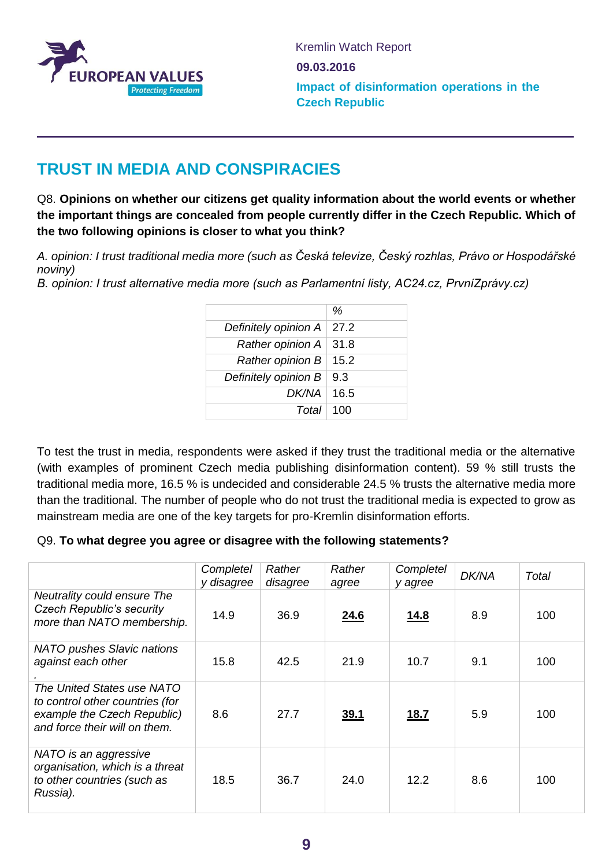

### **TRUST IN MEDIA AND CONSPIRACIES**

Q8. **Opinions on whether our citizens get quality information about the world events or whether the important things are concealed from people currently differ in the Czech Republic. Which of the two following opinions is closer to what you think?**

*A. opinion: I trust traditional media more (such as Česká televize, Český rozhlas, Právo or Hospodářské noviny)*

*B. opinion: I trust alternative media more (such as Parlamentní listy, AC24.cz, PrvníZprávy.cz)*

|                      | %    |
|----------------------|------|
| Definitely opinion A | 27.2 |
| Rather opinion A     | 31.8 |
| Rather opinion B     | 15.2 |
| Definitely opinion B | 9.3  |
| DK/NA                | 16.5 |
| Total                | 100  |

To test the trust in media, respondents were asked if they trust the traditional media or the alternative (with examples of prominent Czech media publishing disinformation content). 59 % still trusts the traditional media more, 16.5 % is undecided and considerable 24.5 % trusts the alternative media more than the traditional. The number of people who do not trust the traditional media is expected to grow as mainstream media are one of the key targets for pro-Kremlin disinformation efforts.

#### Q9. **To what degree you agree or disagree with the following statements?**

|                                                                                                                               | Completel<br>y disagree | Rather<br>disagree | Rather<br>agree | Completel<br>y agree | <b>DK/NA</b> | Total |
|-------------------------------------------------------------------------------------------------------------------------------|-------------------------|--------------------|-----------------|----------------------|--------------|-------|
| Neutrality could ensure The<br><b>Czech Republic's security</b><br>more than NATO membership.                                 | 14.9                    | 36.9               | 24.6            | <u>14.8</u>          | 8.9          | 100   |
| <b>NATO pushes Slavic nations</b><br>against each other                                                                       | 15.8                    | 42.5               | 21.9            | 10.7                 | 9.1          | 100   |
| The United States use NATO<br>to control other countries (for<br>example the Czech Republic)<br>and force their will on them. | 8.6                     | 27.7               | <u>39.1</u>     | <u>18.7</u>          | 5.9          | 100   |
| NATO is an aggressive<br>organisation, which is a threat<br>to other countries (such as<br>Russia).                           | 18.5                    | 36.7               | 24.0            | 12.2                 | 8.6          | 100   |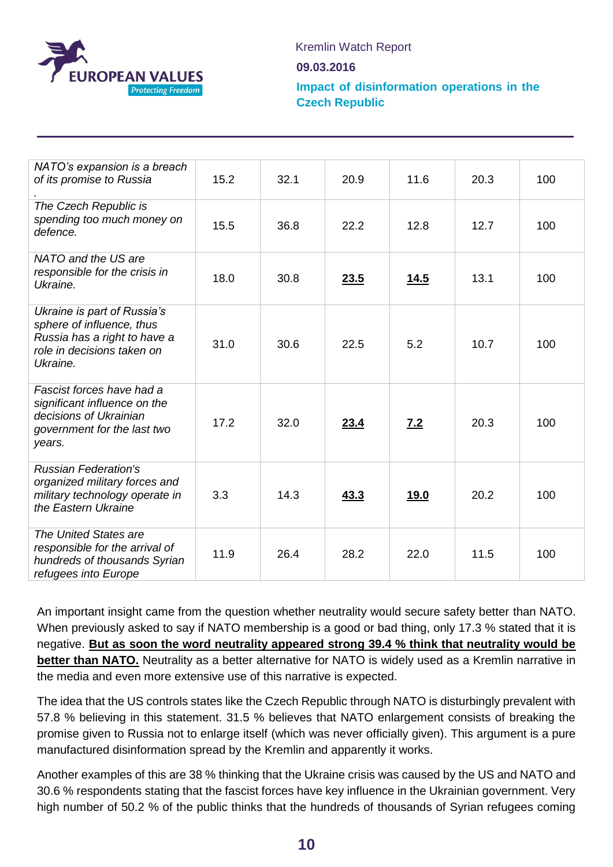

Kremlin Watch Report

**09.03.2016**

**Impact of disinformation operations in the Czech Republic**

| NATO's expansion is a breach<br>of its promise to Russia                                                                           | 15.2 | 32.1 | 20.9 | 11.6        | 20.3 | 100 |
|------------------------------------------------------------------------------------------------------------------------------------|------|------|------|-------------|------|-----|
| The Czech Republic is<br>spending too much money on<br>defence.                                                                    | 15.5 | 36.8 | 22.2 | 12.8        | 12.7 | 100 |
| NATO and the US are<br>responsible for the crisis in<br>Ukraine.                                                                   | 18.0 | 30.8 | 23.5 | <u>14.5</u> | 13.1 | 100 |
| Ukraine is part of Russia's<br>sphere of influence, thus<br>Russia has a right to have a<br>role in decisions taken on<br>Ukraine. | 31.0 | 30.6 | 22.5 | 5.2         | 10.7 | 100 |
| Fascist forces have had a<br>significant influence on the<br>decisions of Ukrainian<br>government for the last two<br>years.       | 17.2 | 32.0 | 23.4 | 7.2         | 20.3 | 100 |
| <b>Russian Federation's</b><br>organized military forces and<br>military technology operate in<br>the Eastern Ukraine              | 3.3  | 14.3 | 43.3 | 19.0        | 20.2 | 100 |
| The United States are<br>responsible for the arrival of<br>hundreds of thousands Syrian<br>refugees into Europe                    | 11.9 | 26.4 | 28.2 | 22.0        | 11.5 | 100 |

An important insight came from the question whether neutrality would secure safety better than NATO. When previously asked to say if NATO membership is a good or bad thing, only 17.3 % stated that it is negative. **But as soon the word neutrality appeared strong 39.4 % think that neutrality would be better than NATO.** Neutrality as a better alternative for NATO is widely used as a Kremlin narrative in the media and even more extensive use of this narrative is expected.

The idea that the US controls states like the Czech Republic through NATO is disturbingly prevalent with 57.8 % believing in this statement. 31.5 % believes that NATO enlargement consists of breaking the promise given to Russia not to enlarge itself (which was never officially given). This argument is a pure manufactured disinformation spread by the Kremlin and apparently it works.

Another examples of this are 38 % thinking that the Ukraine crisis was caused by the US and NATO and 30.6 % respondents stating that the fascist forces have key influence in the Ukrainian government. Very high number of 50.2 % of the public thinks that the hundreds of thousands of Syrian refugees coming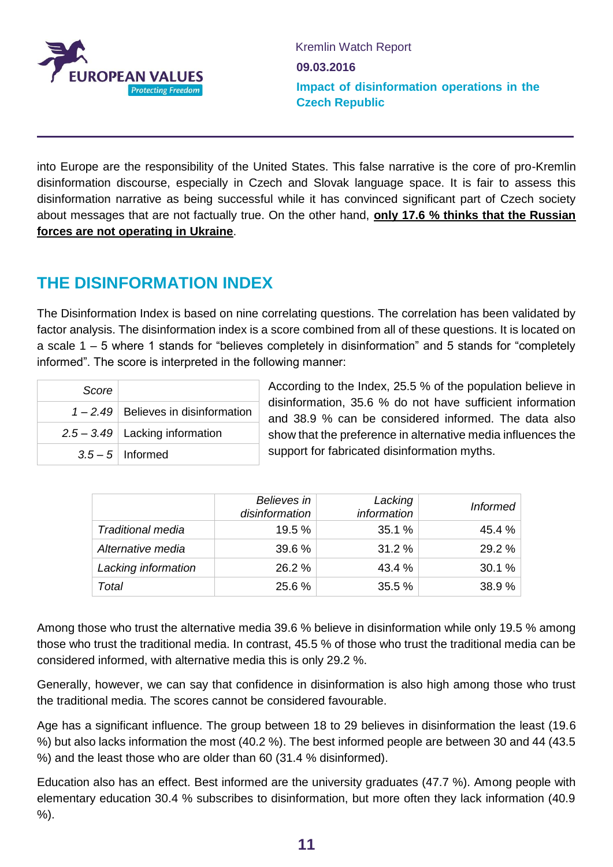

into Europe are the responsibility of the United States. This false narrative is the core of pro-Kremlin disinformation discourse, especially in Czech and Slovak language space. It is fair to assess this disinformation narrative as being successful while it has convinced significant part of Czech society about messages that are not factually true. On the other hand, **only 17.6 % thinks that the Russian forces are not operating in Ukraine**.

# **THE DISINFORMATION INDEX**

The Disinformation Index is based on nine correlating questions. The correlation has been validated by factor analysis. The disinformation index is a score combined from all of these questions. It is located on a scale 1 – 5 where 1 stands for "believes completely in disinformation" and 5 stands for "completely informed". The score is interpreted in the following manner:

| Score |                                       |
|-------|---------------------------------------|
|       | $1 - 2.49$ Believes in disinformation |
|       | $2.5 - 3.49$ Lacking information      |
|       | $3.5 - 5$ Informed                    |

According to the Index, 25.5 % of the population believe in disinformation, 35.6 % do not have sufficient information and 38.9 % can be considered informed. The data also show that the preference in alternative media influences the support for fabricated disinformation myths.

|                          | Believes in<br>disinformation | Lacking<br>information | <b>Informed</b> |
|--------------------------|-------------------------------|------------------------|-----------------|
| <b>Traditional media</b> | 19.5%                         | 35.1 %                 | 45.4%           |
| Alternative media        | 39.6%                         | 31.2 %                 | 29.2 %          |
| Lacking information      | 26.2 %                        | 43.4 %                 | 30.1%           |
| Total                    | 25.6 %                        | 35.5 %                 | 38.9%           |

Among those who trust the alternative media 39.6 % believe in disinformation while only 19.5 % among those who trust the traditional media. In contrast, 45.5 % of those who trust the traditional media can be considered informed, with alternative media this is only 29.2 %.

Generally, however, we can say that confidence in disinformation is also high among those who trust the traditional media. The scores cannot be considered favourable.

Age has a significant influence. The group between 18 to 29 believes in disinformation the least (19.6 %) but also lacks information the most (40.2 %). The best informed people are between 30 and 44 (43.5 %) and the least those who are older than 60 (31.4 % disinformed).

Education also has an effect. Best informed are the university graduates (47.7 %). Among people with elementary education 30.4 % subscribes to disinformation, but more often they lack information (40.9 %).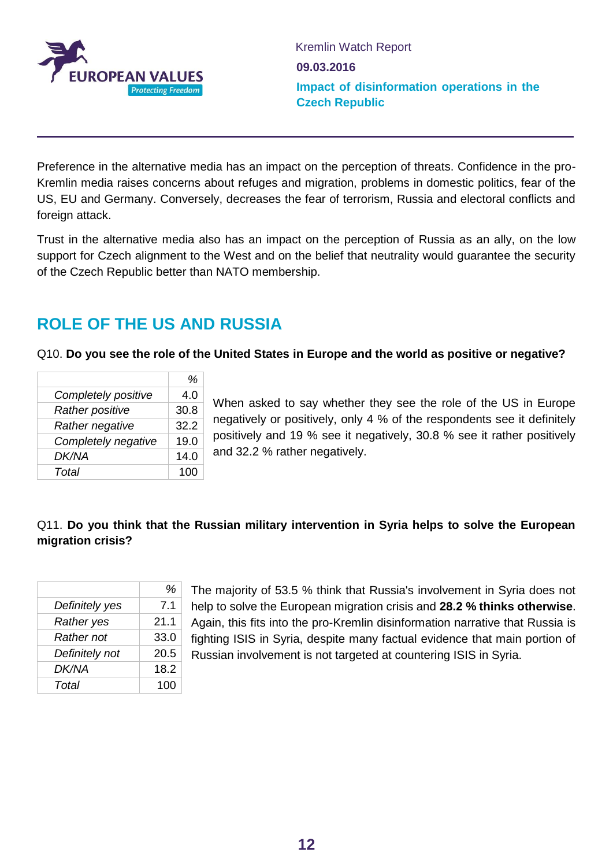

Preference in the alternative media has an impact on the perception of threats. Confidence in the pro-Kremlin media raises concerns about refuges and migration, problems in domestic politics, fear of the US, EU and Germany. Conversely, decreases the fear of terrorism, Russia and electoral conflicts and foreign attack.

Trust in the alternative media also has an impact on the perception of Russia as an ally, on the low support for Czech alignment to the West and on the belief that neutrality would guarantee the security of the Czech Republic better than NATO membership.

### **ROLE OF THE US AND RUSSIA**

#### Q10. **Do you see the role of the United States in Europe and the world as positive or negative?**

|                        | %    |
|------------------------|------|
| Completely positive    | 4.0  |
| <b>Rather positive</b> | 30.8 |
| Rather negative        | 32.2 |
| Completely negative    | 19.0 |
| <b>DK/NA</b>           | 14.0 |
| Total                  | 100  |

When asked to say whether they see the role of the US in Europe negatively or positively, only 4 % of the respondents see it definitely positively and 19 % see it negatively, 30.8 % see it rather positively and 32.2 % rather negatively.

### Q11. **Do you think that the Russian military intervention in Syria helps to solve the European migration crisis?**

|                   | %    |
|-------------------|------|
| Definitely yes    | 7.1  |
| Rather yes        | 21.1 |
| <b>Rather not</b> | 33.0 |
| Definitely not    | 20.5 |
| DK/NA             | 18.2 |
| Total             | 100  |

The majority of 53.5 % think that Russia's involvement in Syria does not help to solve the European migration crisis and **28.2 % thinks otherwise**. Again, this fits into the pro-Kremlin disinformation narrative that Russia is fighting ISIS in Syria, despite many factual evidence that main portion of Russian involvement is not targeted at countering ISIS in Syria.